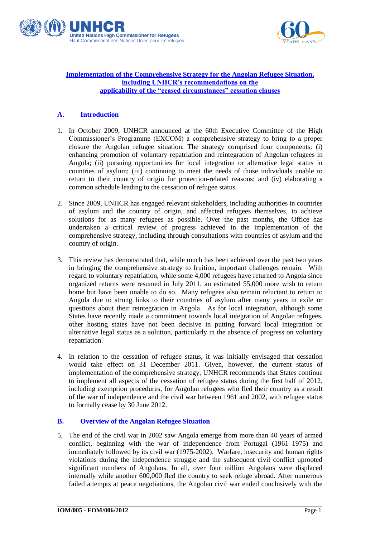



#### **Implementation of the Comprehensive Strategy for the Angolan Refugee Situation, including UNHCR's recommendations on the applicability of the "ceased circumstances" cessation clauses**

# **A. Introduction**

- 1. In October 2009, UNHCR announced at the 60th Executive Committee of the High Commissioner's Programme (EXCOM) a comprehensive strategy to bring to a proper closure the Angolan refugee situation. The strategy comprised four components: (i) enhancing promotion of voluntary repatriation and reintegration of Angolan refugees in Angola; (ii) pursuing opportunities for local integration or alternative legal status in countries of asylum; (iii) continuing to meet the needs of those individuals unable to return to their country of origin for protection-related reasons; and (iv) elaborating a common schedule leading to the cessation of refugee status.
- 2. Since 2009, UNHCR has engaged relevant stakeholders, including authorities in countries of asylum and the country of origin, and affected refugees themselves, to achieve solutions for as many refugees as possible. Over the past months, the Office has undertaken a critical review of progress achieved in the implementation of the comprehensive strategy, including through consultations with countries of asylum and the country of origin.
- 3. This review has demonstrated that, while much has been achieved over the past two years in bringing the comprehensive strategy to fruition, important challenges remain. With regard to voluntary repatriation, while some 4,000 refugees have returned to Angola since organized returns were resumed in July 2011, an estimated 55,000 more wish to return home but have been unable to do so. Many refugees also remain reluctant to return to Angola due to strong links to their countries of asylum after many years in exile or questions about their reintegration in Angola. As for local integration, although some States have recently made a commitment towards local integration of Angolan refugees, other hosting states have not been decisive in putting forward local integration or alternative legal status as a solution, particularly in the absence of progress on voluntary repatriation.
- 4. In relation to the cessation of refugee status, it was initially envisaged that cessation would take effect on 31 December 2011. Given, however, the current status of implementation of the comprehensive strategy, UNHCR recommends that States continue to implement all aspects of the cessation of refugee status during the first half of 2012, including exemption procedures, for Angolan refugees who fled their country as a result of the war of independence and the civil war between 1961 and 2002, with refugee status to formally cease by 30 June 2012.

# **B. Overview of the Angolan Refugee Situation**

5. The end of the civil war in 2002 saw Angola emerge from more than 40 years of armed conflict, beginning with the war of independence from Portugal (1961–1975) and immediately followed by its civil war (1975-2002). Warfare, insecurity and human rights violations during the independence struggle and the subsequent civil conflict uprooted significant numbers of Angolans. In all, over four million Angolans were displaced internally while another 600,000 fled the country to seek refuge abroad. After numerous failed attempts at peace negotiations, the Angolan civil war ended conclusively with the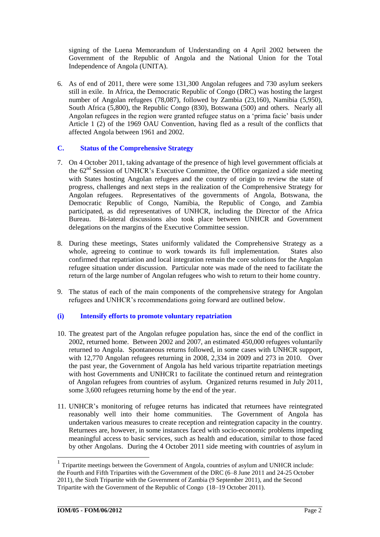signing of the Luena Memorandum of Understanding on 4 April 2002 between the Government of the Republic of Angola and the National Union for the Total Independence of Angola (UNITA).

6. As of end of 2011, there were some 131,300 Angolan refugees and 730 asylum seekers still in exile. In Africa, the Democratic Republic of Congo (DRC) was hosting the largest number of Angolan refugees (78,087), followed by Zambia (23,160), Namibia (5,950), South Africa (5,800), the Republic Congo (830), Botswana (500) and others. Nearly all Angolan refugees in the region were granted refugee status on a 'prima facie' basis under Article 1 (2) of the 1969 OAU Convention, having fled as a result of the conflicts that affected Angola between 1961 and 2002.

#### **C. Status of the Comprehensive Strategy**

- 7. On 4 October 2011, taking advantage of the presence of high level government officials at the  $62<sup>nd</sup>$  Session of UNHCR's Executive Committee, the Office organized a side meeting with States hosting Angolan refugees and the country of origin to review the state of progress, challenges and next steps in the realization of the Comprehensive Strategy for Angolan refugees. Representatives of the governments of Angola, Botswana, the Democratic Republic of Congo, Namibia, the Republic of Congo, and Zambia participated, as did representatives of UNHCR, including the Director of the Africa Bureau. Bi-lateral discussions also took place between UNHCR and Government delegations on the margins of the Executive Committee session.
- 8. During these meetings, States uniformly validated the Comprehensive Strategy as a whole, agreeing to continue to work towards its full implementation. States also confirmed that repatriation and local integration remain the core solutions for the Angolan refugee situation under discussion. Particular note was made of the need to facilitate the return of the large number of Angolan refugees who wish to return to their home country.
- 9. The status of each of the main components of the comprehensive strategy for Angolan refugees and UNHCR's recommendations going forward are outlined below.

# **(i) Intensify efforts to promote voluntary repatriation**

- 10. The greatest part of the Angolan refugee population has, since the end of the conflict in 2002, returned home. Between 2002 and 2007, an estimated 450,000 refugees voluntarily returned to Angola. Spontaneous returns followed, in some cases with UNHCR support, with 12,770 Angolan refugees returning in 2008, 2,334 in 2009 and 273 in 2010. Over the past year, the Government of Angola has held various tripartite repatriation meetings with host Governments and UNHCR1 to facilitate the continued return and reintegration of Angolan refugees from countries of asylum. Organized returns resumed in July 2011, some 3,600 refugees returning home by the end of the year.
- 11. UNHCR's monitoring of refugee returns has indicated that returnees have reintegrated reasonably well into their home communities. The Government of Angola has undertaken various measures to create reception and reintegration capacity in the country. Returnees are, however, in some instances faced with socio-economic problems impeding meaningful access to basic services, such as health and education, similar to those faced by other Angolans. During the 4 October 2011 side meeting with countries of asylum in

-

<sup>&</sup>lt;sup>1</sup> Tripartite meetings between the Government of Angola, countries of asylum and UNHCR include: the Fourth and Fifth Tripartites with the Government of the DRC (6–8 June 2011 and 24-25 October 2011), the Sixth Tripartite with the Government of Zambia (9 September 2011), and the Second Tripartite with the Government of the Republic of Congo (18–19 October 2011).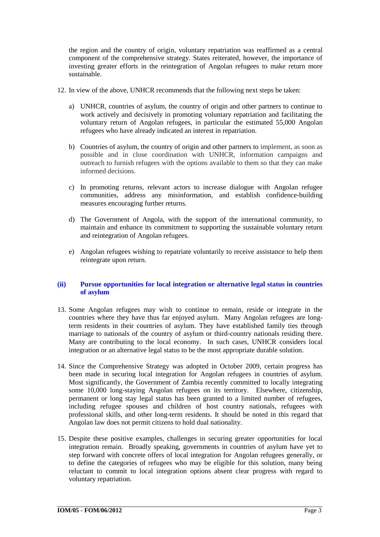the region and the country of origin, voluntary repatriation was reaffirmed as a central component of the comprehensive strategy. States reiterated, however, the importance of investing greater efforts in the reintegration of Angolan refugees to make return more sustainable.

- 12. In view of the above, UNHCR recommends that the following next steps be taken:
	- a) UNHCR, countries of asylum, the country of origin and other partners to continue to work actively and decisively in promoting voluntary repatriation and facilitating the voluntary return of Angolan refugees, in particular the estimated 55,000 Angolan refugees who have already indicated an interest in repatriation.
	- b) Countries of asylum, the country of origin and other partners to implement, as soon as possible and in close coordination with UNHCR, information campaigns and outreach to furnish refugees with the options available to them so that they can make informed decisions.
	- c) In promoting returns, relevant actors to increase dialogue with Angolan refugee communities, address any misinformation, and establish confidence-building measures encouraging further returns.
	- d) The Government of Angola, with the support of the international community, to maintain and enhance its commitment to supporting the sustainable voluntary return and reintegration of Angolan refugees.
	- e) Angolan refugees wishing to repatriate voluntarily to receive assistance to help them reintegrate upon return.

# **(ii) Pursue opportunities for local integration or alternative legal status in countries of asylum**

- 13. Some Angolan refugees may wish to continue to remain, reside or integrate in the countries where they have thus far enjoyed asylum. Many Angolan refugees are longterm residents in their countries of asylum. They have established family ties through marriage to nationals of the country of asylum or third-country nationals residing there. Many are contributing to the local economy. In such cases, UNHCR considers local integration or an alternative legal status to be the most appropriate durable solution.
- 14. Since the Comprehensive Strategy was adopted in October 2009, certain progress has been made in securing local integration for Angolan refugees in countries of asylum. Most significantly, the Government of Zambia recently committed to locally integrating some 10,000 long-staying Angolan refugees on its territory. Elsewhere, citizenship, permanent or long stay legal status has been granted to a limited number of refugees, including refugee spouses and children of host country nationals, refugees with professional skills, and other long-term residents. It should be noted in this regard that Angolan law does not permit citizens to hold dual nationality.
- 15. Despite these positive examples, challenges in securing greater opportunities for local integration remain. Broadly speaking, governments in countries of asylum have yet to step forward with concrete offers of local integration for Angolan refugees generally, or to define the categories of refugees who may be eligible for this solution, many being reluctant to commit to local integration options absent clear progress with regard to voluntary repatriation.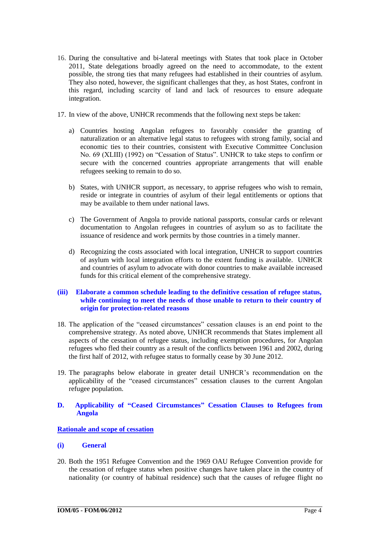- 16. During the consultative and bi-lateral meetings with States that took place in October 2011, State delegations broadly agreed on the need to accommodate, to the extent possible, the strong ties that many refugees had established in their countries of asylum. They also noted, however, the significant challenges that they, as host States, confront in this regard, including scarcity of land and lack of resources to ensure adequate integration.
- 17. In view of the above, UNHCR recommends that the following next steps be taken:
	- a) Countries hosting Angolan refugees to favorably consider the granting of naturalization or an alternative legal status to refugees with strong family, social and economic ties to their countries, consistent with Executive Committee Conclusion No. 69 (XLIII) (1992) on "Cessation of Status". UNHCR to take steps to confirm or secure with the concerned countries appropriate arrangements that will enable refugees seeking to remain to do so.
	- b) States, with UNHCR support, as necessary, to apprise refugees who wish to remain, reside or integrate in countries of asylum of their legal entitlements or options that may be available to them under national laws.
	- c) The Government of Angola to provide national passports, consular cards or relevant documentation to Angolan refugees in countries of asylum so as to facilitate the issuance of residence and work permits by those countries in a timely manner.
	- d) Recognizing the costs associated with local integration, UNHCR to support countries of asylum with local integration efforts to the extent funding is available. UNHCR and countries of asylum to advocate with donor countries to make available increased funds for this critical element of the comprehensive strategy.

# **(iii) Elaborate a common schedule leading to the definitive cessation of refugee status, while continuing to meet the needs of those unable to return to their country of origin for protection-related reasons**

- 18. The application of the "ceased circumstances" cessation clauses is an end point to the comprehensive strategy. As noted above, UNHCR recommends that States implement all aspects of the cessation of refugee status, including exemption procedures, for Angolan refugees who fled their country as a result of the conflicts between 1961 and 2002, during the first half of 2012, with refugee status to formally cease by 30 June 2012.
- 19. The paragraphs below elaborate in greater detail UNHCR's recommendation on the applicability of the "ceased circumstances" cessation clauses to the current Angolan refugee population.
- **D. Applicability of "Ceased Circumstances" Cessation Clauses to Refugees from Angola**

# **Rationale and scope of cessation**

# **(i) General**

20. Both the 1951 Refugee Convention and the 1969 OAU Refugee Convention provide for the cessation of refugee status when positive changes have taken place in the country of nationality (or country of habitual residence) such that the causes of refugee flight no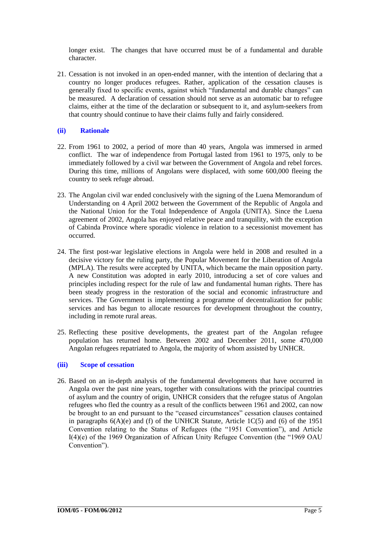longer exist. The changes that have occurred must be of a fundamental and durable character.

21. Cessation is not invoked in an open-ended manner, with the intention of declaring that a country no longer produces refugees. Rather, application of the cessation clauses is generally fixed to specific events, against which "fundamental and durable changes" can be measured. A declaration of cessation should not serve as an automatic bar to refugee claims, either at the time of the declaration or subsequent to it, and asylum-seekers from that country should continue to have their claims fully and fairly considered.

### **(ii) Rationale**

- 22. From 1961 to 2002, a period of more than 40 years, Angola was immersed in armed conflict. The war of independence from Portugal lasted from 1961 to 1975, only to be immediately followed by a civil war between the Government of Angola and rebel forces. During this time, millions of Angolans were displaced, with some 600,000 fleeing the country to seek refuge abroad.
- 23. The Angolan civil war ended conclusively with the signing of the Luena Memorandum of Understanding on 4 April 2002 between the Government of the Republic of Angola and the National Union for the Total Independence of Angola (UNITA). Since the Luena agreement of 2002, Angola has enjoyed relative peace and tranquility, with the exception of Cabinda Province where sporadic violence in relation to a secessionist movement has occurred.
- 24. The first post-war legislative elections in Angola were held in 2008 and resulted in a decisive victory for the ruling party, the Popular Movement for the Liberation of Angola (MPLA). The results were accepted by UNITA, which became the main opposition party. A new Constitution was adopted in early 2010, introducing a set of core values and principles including respect for the rule of law and fundamental human rights. There has been steady progress in the restoration of the social and economic infrastructure and services. The Government is implementing a programme of decentralization for public services and has begun to allocate resources for development throughout the country, including in remote rural areas.
- 25. Reflecting these positive developments, the greatest part of the Angolan refugee population has returned home. Between 2002 and December 2011, some 470,000 Angolan refugees repatriated to Angola, the majority of whom assisted by UNHCR.

#### **(iii) Scope of cessation**

26. Based on an in-depth analysis of the fundamental developments that have occurred in Angola over the past nine years, together with consultations with the principal countries of asylum and the country of origin, UNHCR considers that the refugee status of Angolan refugees who fled the country as a result of the conflicts between 1961 and 2002, can now be brought to an end pursuant to the "ceased circumstances" cessation clauses contained in paragraphs  $6(A)(e)$  and (f) of the UNHCR Statute, Article 1C(5) and (6) of the 1951 Convention relating to the Status of Refugees (the "1951 Convention"), and Article I(4)(e) of the 1969 Organization of African Unity Refugee Convention (the "1969 OAU Convention").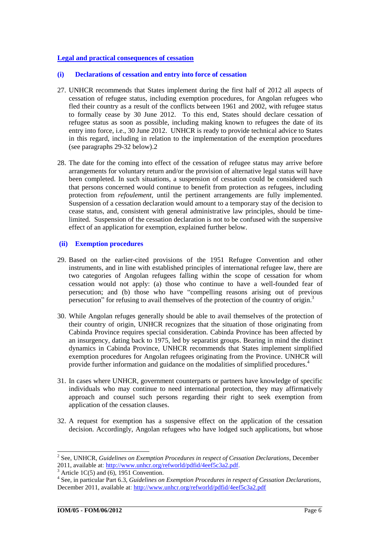# **Legal and practical consequences of cessation**

#### **(i) Declarations of cessation and entry into force of cessation**

- 27. UNHCR recommends that States implement during the first half of 2012 all aspects of cessation of refugee status, including exemption procedures, for Angolan refugees who fled their country as a result of the conflicts between 1961 and 2002, with refugee status to formally cease by 30 June 2012. To this end, States should declare cessation of refugee status as soon as possible, including making known to refugees the date of its entry into force, i.e., 30 June 2012. UNHCR is ready to provide technical advice to States in this regard, including in relation to the implementation of the exemption procedures (see paragraphs 29-32 below).2
- 28. The date for the coming into effect of the cessation of refugee status may arrive before arrangements for voluntary return and/or the provision of alternative legal status will have been completed. In such situations, a suspension of cessation could be considered such that persons concerned would continue to benefit from protection as refugees, including protection from *refoulement*, until the pertinent arrangements are fully implemented. Suspension of a cessation declaration would amount to a temporary stay of the decision to cease status, and, consistent with general administrative law principles, should be timelimited. Suspension of the cessation declaration is not to be confused with the suspensive effect of an application for exemption, explained further below.

#### **(ii) Exemption procedures**

- 29. Based on the earlier-cited provisions of the 1951 Refugee Convention and other instruments, and in line with established principles of international refugee law, there are two categories of Angolan refugees falling within the scope of cessation for whom cessation would not apply: (a) those who continue to have a well-founded fear of persecution; and (b) those who have "compelling reasons arising out of previous persecution" for refusing to avail themselves of the protection of the country of origin.<sup>3</sup>
- 30. While Angolan refuges generally should be able to avail themselves of the protection of their country of origin, UNHCR recognizes that the situation of those originating from Cabinda Province requires special consideration. Cabinda Province has been affected by an insurgency, dating back to 1975, led by separatist groups. Bearing in mind the distinct dynamics in Cabinda Province, UNHCR recommends that States implement simplified exemption procedures for Angolan refugees originating from the Province. UNHCR will provide further information and guidance on the modalities of simplified procedures.<sup>4</sup>
- 31. In cases where UNHCR, government counterparts or partners have knowledge of specific individuals who may continue to need international protection, they may affirmatively approach and counsel such persons regarding their right to seek exemption from application of the cessation clauses.
- 32. A request for exemption has a suspensive effect on the application of the cessation decision. Accordingly, Angolan refugees who have lodged such applications, but whose

 2 See, UNHCR, *Guidelines on Exemption Procedures in respect of Cessation Declarations*, December 2011, available at: [http://www.unhcr.org/refworld/pdfid/4eef5c3a2.pdf.](http://www.unhcr.org/refworld/pdfid/4eef5c3a2.pdf)

 $3 \text{ Article } 1C(5) \text{ and } (6), 1951 \text{ Convention.}$ 

<sup>4</sup> See, in particular Part 6.3, *Guidelines on Exemption Procedures in respect of Cessation Declarations*, December 2011, available at[: http://www.unhcr.org/refworld/pdfid/4eef5c3a2.pdf](http://www.unhcr.org/refworld/pdfid/4eef5c3a2.pdf)